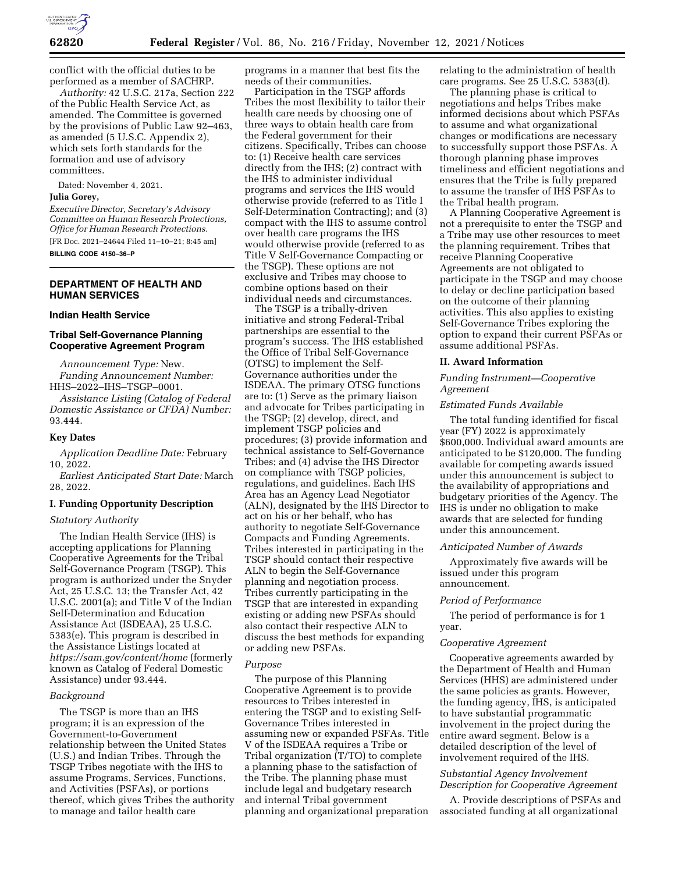

conflict with the official duties to be performed as a member of SACHRP.

*Authority:* 42 U.S.C. 217a, Section 222 of the Public Health Service Act, as amended. The Committee is governed by the provisions of Public Law 92–463, as amended (5 U.S.C. Appendix 2), which sets forth standards for the formation and use of advisory committees.

Dated: November 4, 2021.

#### **Julia Gorey,**

*Executive Director, Secretary's Advisory Committee on Human Research Protections, Office for Human Research Protections.*  [FR Doc. 2021–24644 Filed 11–10–21; 8:45 am] **BILLING CODE 4150–36–P** 

# **DEPARTMENT OF HEALTH AND HUMAN SERVICES**

# **Indian Health Service**

# **Tribal Self-Governance Planning Cooperative Agreement Program**

*Announcement Type:* New. *Funding Announcement Number:*  HHS–2022–IHS–TSGP–0001.

*Assistance Listing (Catalog of Federal Domestic Assistance or CFDA) Number:*  93.444.

#### **Key Dates**

*Application Deadline Date:* February 10, 2022.

*Earliest Anticipated Start Date:* March 28, 2022.

# **I. Funding Opportunity Description**

# *Statutory Authority*

The Indian Health Service (IHS) is accepting applications for Planning Cooperative Agreements for the Tribal Self-Governance Program (TSGP). This program is authorized under the Snyder Act, 25 U.S.C. 13; the Transfer Act, 42 U.S.C. 2001(a); and Title V of the Indian Self-Determination and Education Assistance Act (ISDEAA), 25 U.S.C. 5383(e). This program is described in the Assistance Listings located at *<https://sam.gov/content/home>* (formerly known as Catalog of Federal Domestic Assistance) under 93.444.

# *Background*

The TSGP is more than an IHS program; it is an expression of the Government-to-Government relationship between the United States (U.S.) and Indian Tribes. Through the TSGP Tribes negotiate with the IHS to assume Programs, Services, Functions, and Activities (PSFAs), or portions thereof, which gives Tribes the authority to manage and tailor health care

programs in a manner that best fits the needs of their communities.

Participation in the TSGP affords Tribes the most flexibility to tailor their health care needs by choosing one of three ways to obtain health care from the Federal government for their citizens. Specifically, Tribes can choose to: (1) Receive health care services directly from the IHS; (2) contract with the IHS to administer individual programs and services the IHS would otherwise provide (referred to as Title I Self-Determination Contracting); and (3) compact with the IHS to assume control over health care programs the IHS would otherwise provide (referred to as Title V Self-Governance Compacting or the TSGP). These options are not exclusive and Tribes may choose to combine options based on their individual needs and circumstances.

The TSGP is a tribally-driven initiative and strong Federal-Tribal partnerships are essential to the program's success. The IHS established the Office of Tribal Self-Governance (OTSG) to implement the Self-Governance authorities under the ISDEAA. The primary OTSG functions are to: (1) Serve as the primary liaison and advocate for Tribes participating in the TSGP; (2) develop, direct, and implement TSGP policies and procedures; (3) provide information and technical assistance to Self-Governance Tribes; and (4) advise the IHS Director on compliance with TSGP policies, regulations, and guidelines. Each IHS Area has an Agency Lead Negotiator (ALN), designated by the IHS Director to act on his or her behalf, who has authority to negotiate Self-Governance Compacts and Funding Agreements. Tribes interested in participating in the TSGP should contact their respective ALN to begin the Self-Governance planning and negotiation process. Tribes currently participating in the TSGP that are interested in expanding existing or adding new PSFAs should also contact their respective ALN to discuss the best methods for expanding or adding new PSFAs.

#### *Purpose*

The purpose of this Planning Cooperative Agreement is to provide resources to Tribes interested in entering the TSGP and to existing Self-Governance Tribes interested in assuming new or expanded PSFAs. Title V of the ISDEAA requires a Tribe or Tribal organization (T/TO) to complete a planning phase to the satisfaction of the Tribe. The planning phase must include legal and budgetary research and internal Tribal government planning and organizational preparation

relating to the administration of health care programs. See 25 U.S.C. 5383(d).

The planning phase is critical to negotiations and helps Tribes make informed decisions about which PSFAs to assume and what organizational changes or modifications are necessary to successfully support those PSFAs. A thorough planning phase improves timeliness and efficient negotiations and ensures that the Tribe is fully prepared to assume the transfer of IHS PSFAs to the Tribal health program.

A Planning Cooperative Agreement is not a prerequisite to enter the TSGP and a Tribe may use other resources to meet the planning requirement. Tribes that receive Planning Cooperative Agreements are not obligated to participate in the TSGP and may choose to delay or decline participation based on the outcome of their planning activities. This also applies to existing Self-Governance Tribes exploring the option to expand their current PSFAs or assume additional PSFAs.

#### **II. Award Information**

## *Funding Instrument—Cooperative Agreement*

# *Estimated Funds Available*

The total funding identified for fiscal year (FY) 2022 is approximately \$600,000. Individual award amounts are anticipated to be \$120,000. The funding available for competing awards issued under this announcement is subject to the availability of appropriations and budgetary priorities of the Agency. The IHS is under no obligation to make awards that are selected for funding under this announcement.

#### *Anticipated Number of Awards*

Approximately five awards will be issued under this program announcement.

#### *Period of Performance*

The period of performance is for 1 year.

#### *Cooperative Agreement*

Cooperative agreements awarded by the Department of Health and Human Services (HHS) are administered under the same policies as grants. However, the funding agency, IHS, is anticipated to have substantial programmatic involvement in the project during the entire award segment. Below is a detailed description of the level of involvement required of the IHS.

## *Substantial Agency Involvement Description for Cooperative Agreement*

A. Provide descriptions of PSFAs and associated funding at all organizational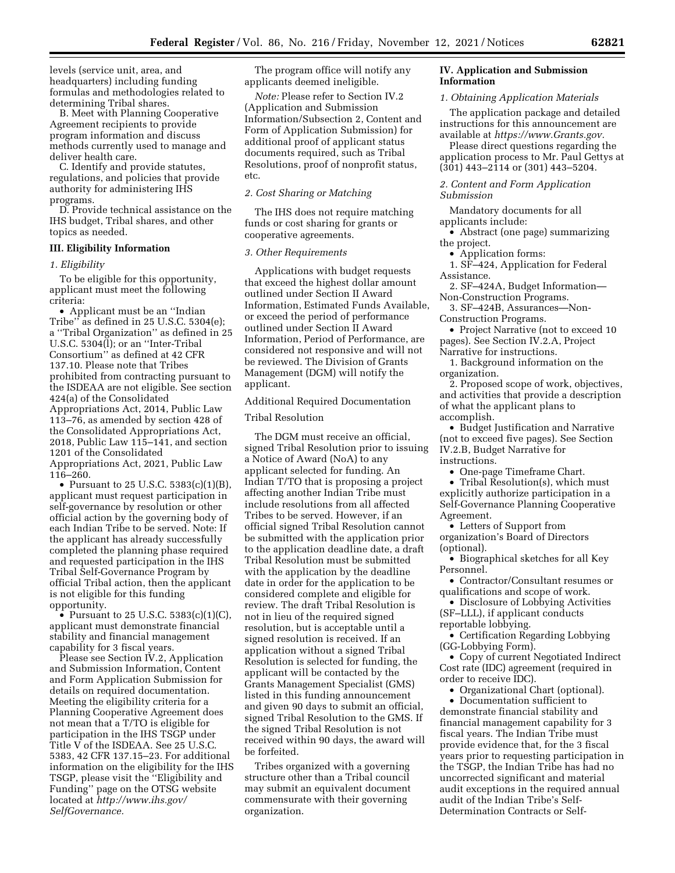levels (service unit, area, and headquarters) including funding formulas and methodologies related to determining Tribal shares.

B. Meet with Planning Cooperative Agreement recipients to provide program information and discuss methods currently used to manage and deliver health care.

C. Identify and provide statutes, regulations, and policies that provide authority for administering IHS programs.

D. Provide technical assistance on the IHS budget, Tribal shares, and other topics as needed.

# **III. Eligibility Information**

#### *1. Eligibility*

To be eligible for this opportunity, applicant must meet the following criteria:

• Applicant must be an ''Indian Tribe'' as defined in 25 U.S.C. 5304(e); a ''Tribal Organization'' as defined in 25 U.S.C.  $5304(1)$ ; or an "Inter-Tribal" Consortium'' as defined at 42 CFR 137.10. Please note that Tribes prohibited from contracting pursuant to the ISDEAA are not eligible. See section 424(a) of the Consolidated Appropriations Act, 2014, Public Law 113–76, as amended by section 428 of the Consolidated Appropriations Act, 2018, Public Law 115–141, and section 1201 of the Consolidated Appropriations Act, 2021, Public Law 116–260.

• Pursuant to 25 U.S.C. 5383(c)(1)(B), applicant must request participation in self-governance by resolution or other official action by the governing body of each Indian Tribe to be served. Note: If the applicant has already successfully completed the planning phase required and requested participation in the IHS Tribal Self-Governance Program by official Tribal action, then the applicant is not eligible for this funding opportunity.

• Pursuant to 25 U.S.C. 5383(c)(1)(C), applicant must demonstrate financial stability and financial management capability for 3 fiscal years.

Please see Section IV.2, Application and Submission Information, Content and Form Application Submission for details on required documentation. Meeting the eligibility criteria for a Planning Cooperative Agreement does not mean that a T/TO is eligible for participation in the IHS TSGP under Title V of the ISDEAA. See 25 U.S.C. 5383, 42 CFR 137.15–23. For additional information on the eligibility for the IHS TSGP, please visit the ''Eligibility and Funding'' page on the OTSG website located at *[http://www.ihs.gov/](http://www.ihs.gov/SelfGovernance) [SelfGovernance.](http://www.ihs.gov/SelfGovernance)* 

The program office will notify any applicants deemed ineligible.

*Note:* Please refer to Section IV.2 (Application and Submission Information/Subsection 2, Content and Form of Application Submission) for additional proof of applicant status documents required, such as Tribal Resolutions, proof of nonprofit status, etc.

# *2. Cost Sharing or Matching*

The IHS does not require matching funds or cost sharing for grants or cooperative agreements.

## *3. Other Requirements*

Applications with budget requests that exceed the highest dollar amount outlined under Section II Award Information, Estimated Funds Available, or exceed the period of performance outlined under Section II Award Information, Period of Performance, are considered not responsive and will not be reviewed. The Division of Grants Management (DGM) will notify the applicant.

#### Additional Required Documentation

#### Tribal Resolution

The DGM must receive an official, signed Tribal Resolution prior to issuing a Notice of Award (NoA) to any applicant selected for funding. An Indian T/TO that is proposing a project affecting another Indian Tribe must include resolutions from all affected Tribes to be served. However, if an official signed Tribal Resolution cannot be submitted with the application prior to the application deadline date, a draft Tribal Resolution must be submitted with the application by the deadline date in order for the application to be considered complete and eligible for review. The draft Tribal Resolution is not in lieu of the required signed resolution, but is acceptable until a signed resolution is received. If an application without a signed Tribal Resolution is selected for funding, the applicant will be contacted by the Grants Management Specialist (GMS) listed in this funding announcement and given 90 days to submit an official, signed Tribal Resolution to the GMS. If the signed Tribal Resolution is not received within 90 days, the award will be forfeited.

Tribes organized with a governing structure other than a Tribal council may submit an equivalent document commensurate with their governing organization.

#### **IV. Application and Submission Information**

## *1. Obtaining Application Materials*

The application package and detailed instructions for this announcement are available at *[https://www.Grants.gov.](https://www.Grants.gov)* 

Please direct questions regarding the application process to Mr. Paul Gettys at (301) 443–2114 or (301) 443–5204.

*2. Content and Form Application Submission* 

Mandatory documents for all applicants include:

• Abstract (one page) summarizing the project.

• Application forms:

1. SF–424, Application for Federal Assistance.

2. SF–424A, Budget Information— Non-Construction Programs.

3. SF–424B, Assurances—Non-Construction Programs.

• Project Narrative (not to exceed 10 pages). See Section IV.2.A, Project Narrative for instructions.

1. Background information on the organization.

2. Proposed scope of work, objectives, and activities that provide a description of what the applicant plans to accomplish.

• Budget Justification and Narrative (not to exceed five pages). See Section IV.2.B, Budget Narrative for instructions.

• One-page Timeframe Chart.

• Tribal Resolution(s), which must explicitly authorize participation in a Self-Governance Planning Cooperative Agreement.

• Letters of Support from organization's Board of Directors (optional).

• Biographical sketches for all Key Personnel.

• Contractor/Consultant resumes or qualifications and scope of work.

• Disclosure of Lobbying Activities (SF–LLL), if applicant conducts reportable lobbying.

• Certification Regarding Lobbying (GG-Lobbying Form).

• Copy of current Negotiated Indirect Cost rate (IDC) agreement (required in order to receive IDC).

• Organizational Chart (optional).

• Documentation sufficient to demonstrate financial stability and financial management capability for 3 fiscal years. The Indian Tribe must provide evidence that, for the 3 fiscal years prior to requesting participation in the TSGP, the Indian Tribe has had no uncorrected significant and material audit exceptions in the required annual audit of the Indian Tribe's Self-Determination Contracts or Self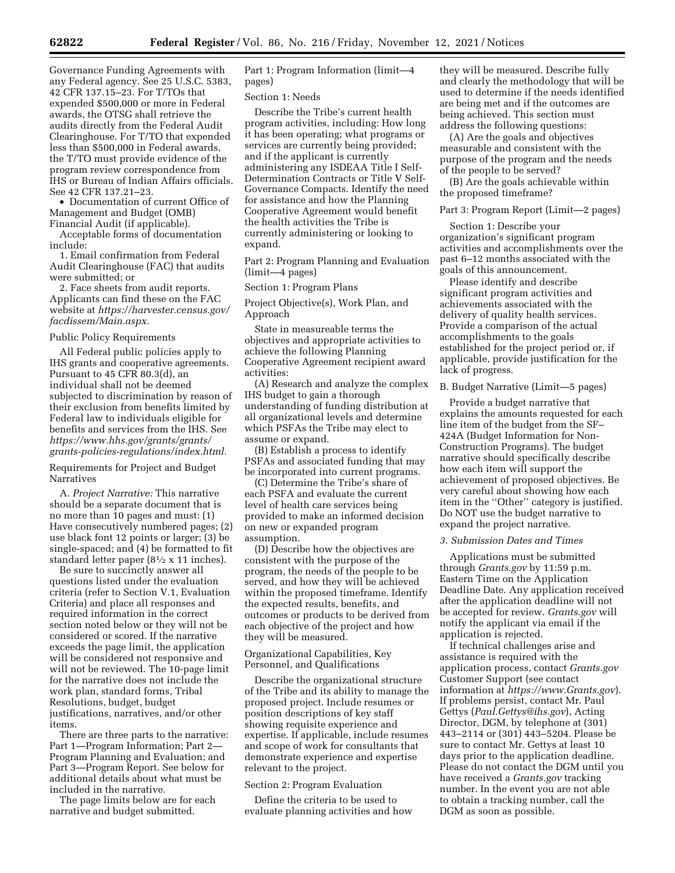Governance Funding Agreements with any Federal agency. See 25 U.S.C. 5383, 42 CFR 137.15–23. For T/TOs that expended \$500,000 or more in Federal awards, the OTSG shall retrieve the audits directly from the Federal Audit Clearinghouse. For T/TO that expended less than \$500,000 in Federal awards, the T/TO must provide evidence of the program review correspondence from IHS or Bureau of Indian Affairs officials. See 42 CFR 137.21–23.

• Documentation of current Office of Management and Budget (OMB) Financial Audit (if applicable).

Acceptable forms of documentation include:

1. Email confirmation from Federal Audit Clearinghouse (FAC) that audits were submitted; or

2. Face sheets from audit reports. Applicants can find these on the FAC website at *[https://harvester.census.gov/](https://harvester.census.gov/facdissem/Main.aspx) [facdissem/Main.aspx.](https://harvester.census.gov/facdissem/Main.aspx)* 

Public Policy Requirements

All Federal public policies apply to IHS grants and cooperative agreements. Pursuant to 45 CFR 80.3(d), an individual shall not be deemed subjected to discrimination by reason of their exclusion from benefits limited by Federal law to individuals eligible for benefits and services from the IHS. See *[https://www.hhs.gov/grants/grants/](https://www.hhs.gov/grants/grants/grants-policies-regulations/index.html)  [grants-policies-regulations/index.html.](https://www.hhs.gov/grants/grants/grants-policies-regulations/index.html)* 

Requirements for Project and Budget Narratives

A. *Project Narrative:* This narrative should be a separate document that is no more than 10 pages and must: (1) Have consecutively numbered pages; (2) use black font 12 points or larger; (3) be single-spaced; and (4) be formatted to fit standard letter paper (81⁄2 x 11 inches).

Be sure to succinctly answer all questions listed under the evaluation criteria (refer to Section V.1, Evaluation Criteria) and place all responses and required information in the correct section noted below or they will not be considered or scored. If the narrative exceeds the page limit, the application will be considered not responsive and will not be reviewed. The 10-page limit for the narrative does not include the work plan, standard forms, Tribal Resolutions, budget, budget justifications, narratives, and/or other items.

There are three parts to the narrative: Part 1—Program Information; Part 2— Program Planning and Evaluation; and Part 3—Program Report. See below for additional details about what must be included in the narrative.

The page limits below are for each narrative and budget submitted.

Part 1: Program Information (limit—4 pages)

Section 1: Needs

Describe the Tribe's current health program activities, including: How long it has been operating; what programs or services are currently being provided; and if the applicant is currently administering any ISDEAA Title I Self-Determination Contracts or Title V Self-Governance Compacts. Identify the need for assistance and how the Planning Cooperative Agreement would benefit the health activities the Tribe is currently administering or looking to expand.

Part 2: Program Planning and Evaluation (limit—4 pages)

Section 1: Program Plans

Project Objective(s), Work Plan, and Approach

State in measureable terms the objectives and appropriate activities to achieve the following Planning Cooperative Agreement recipient award activities:

(A) Research and analyze the complex IHS budget to gain a thorough understanding of funding distribution at all organizational levels and determine which PSFAs the Tribe may elect to assume or expand.

(B) Establish a process to identify PSFAs and associated funding that may be incorporated into current programs.

(C) Determine the Tribe's share of each PSFA and evaluate the current level of health care services being provided to make an informed decision on new or expanded program assumption.

(D) Describe how the objectives are consistent with the purpose of the program, the needs of the people to be served, and how they will be achieved within the proposed timeframe. Identify the expected results, benefits, and outcomes or products to be derived from each objective of the project and how they will be measured.

# Organizational Capabilities, Key Personnel, and Qualifications

Describe the organizational structure of the Tribe and its ability to manage the proposed project. Include resumes or position descriptions of key staff showing requisite experience and expertise. If applicable, include resumes and scope of work for consultants that demonstrate experience and expertise relevant to the project.

### Section 2: Program Evaluation

Define the criteria to be used to evaluate planning activities and how

they will be measured. Describe fully and clearly the methodology that will be used to determine if the needs identified are being met and if the outcomes are being achieved. This section must address the following questions:

(A) Are the goals and objectives measurable and consistent with the purpose of the program and the needs of the people to be served?

(B) Are the goals achievable within the proposed timeframe?

Part 3: Program Report (Limit—2 pages)

Section 1: Describe your organization's significant program activities and accomplishments over the past 6–12 months associated with the goals of this announcement.

Please identify and describe significant program activities and achievements associated with the delivery of quality health services. Provide a comparison of the actual accomplishments to the goals established for the project period or, if applicable, provide justification for the lack of progress.

B. Budget Narrative (Limit—5 pages)

Provide a budget narrative that explains the amounts requested for each line item of the budget from the SF– 424A (Budget Information for Non-Construction Programs). The budget narrative should specifically describe how each item will support the achievement of proposed objectives. Be very careful about showing how each item in the ''Other'' category is justified. Do NOT use the budget narrative to expand the project narrative.

## *3. Submission Dates and Times*

Applications must be submitted through *Grants.gov* by 11:59 p.m. Eastern Time on the Application Deadline Date. Any application received after the application deadline will not be accepted for review. *Grants.gov* will notify the applicant via email if the application is rejected.

If technical challenges arise and assistance is required with the application process, contact *Grants.gov*  Customer Support (see contact information at *<https://www.Grants.gov>*). If problems persist, contact Mr. Paul Gettys (*[Paul.Gettys@ihs.gov](mailto:Paul.Gettys@ihs.gov)*), Acting Director, DGM, by telephone at (301) 443–2114 or (301) 443–5204. Please be sure to contact Mr. Gettys at least 10 days prior to the application deadline. Please do not contact the DGM until you have received a *Grants.gov* tracking number. In the event you are not able to obtain a tracking number, call the DGM as soon as possible.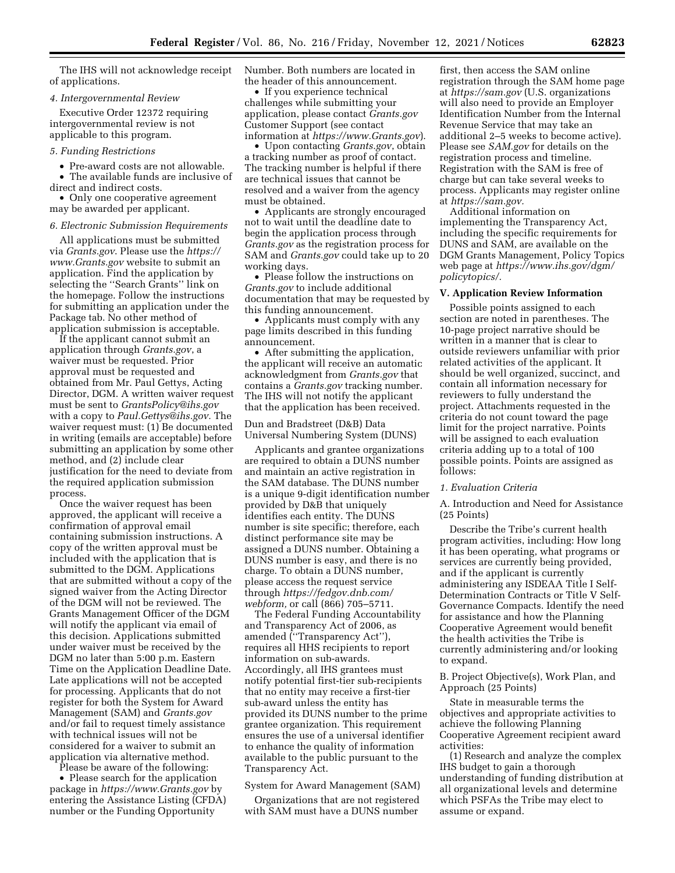The IHS will not acknowledge receipt of applications.

#### *4. Intergovernmental Review*

Executive Order 12372 requiring intergovernmental review is not applicable to this program.

### *5. Funding Restrictions*

• Pre-award costs are not allowable.

• The available funds are inclusive of direct and indirect costs.

• Only one cooperative agreement may be awarded per applicant.

#### *6. Electronic Submission Requirements*

All applications must be submitted via *Grants.gov*. Please use the *[https://](https://www.Grants.gov) [www.Grants.gov](https://www.Grants.gov)* website to submit an application. Find the application by selecting the ''Search Grants'' link on the homepage. Follow the instructions for submitting an application under the Package tab. No other method of application submission is acceptable.

If the applicant cannot submit an application through *Grants.gov*, a waiver must be requested. Prior approval must be requested and obtained from Mr. Paul Gettys, Acting Director, DGM. A written waiver request must be sent to *[GrantsPolicy@ihs.gov](mailto:GrantsPolicy@ihs.gov)*  with a copy to *[Paul.Gettys@ihs.gov.](mailto:Paul.Gettys@ihs.gov)* The waiver request must: (1) Be documented in writing (emails are acceptable) before submitting an application by some other method, and (2) include clear justification for the need to deviate from the required application submission process.

Once the waiver request has been approved, the applicant will receive a confirmation of approval email containing submission instructions. A copy of the written approval must be included with the application that is submitted to the DGM. Applications that are submitted without a copy of the signed waiver from the Acting Director of the DGM will not be reviewed. The Grants Management Officer of the DGM will notify the applicant via email of this decision. Applications submitted under waiver must be received by the DGM no later than 5:00 p.m. Eastern Time on the Application Deadline Date. Late applications will not be accepted for processing. Applicants that do not register for both the System for Award Management (SAM) and *Grants.gov*  and/or fail to request timely assistance with technical issues will not be considered for a waiver to submit an application via alternative method.

Please be aware of the following:

• Please search for the application package in *<https://www.Grants.gov>* by entering the Assistance Listing (CFDA) number or the Funding Opportunity

Number. Both numbers are located in the header of this announcement.

• If you experience technical challenges while submitting your application, please contact *Grants.gov*  Customer Support (see contact information at *<https://www.Grants.gov>*).

• Upon contacting *Grants.gov*, obtain a tracking number as proof of contact. The tracking number is helpful if there are technical issues that cannot be resolved and a waiver from the agency must be obtained.

• Applicants are strongly encouraged not to wait until the deadline date to begin the application process through *Grants.gov* as the registration process for SAM and *Grants.gov* could take up to 20 working days.

• Please follow the instructions on *Grants.gov* to include additional documentation that may be requested by this funding announcement.

• Applicants must comply with any page limits described in this funding announcement.

• After submitting the application, the applicant will receive an automatic acknowledgment from *Grants.gov* that contains a *Grants.gov* tracking number. The IHS will not notify the applicant that the application has been received.

# Dun and Bradstreet (D&B) Data Universal Numbering System (DUNS)

Applicants and grantee organizations are required to obtain a DUNS number and maintain an active registration in the SAM database. The DUNS number is a unique 9-digit identification number provided by D&B that uniquely identifies each entity. The DUNS number is site specific; therefore, each distinct performance site may be assigned a DUNS number. Obtaining a DUNS number is easy, and there is no charge. To obtain a DUNS number, please access the request service through *[https://fedgov.dnb.com/](https://fedgov.dnb.com/webform)  [webform,](https://fedgov.dnb.com/webform)* or call (866) 705–5711.

The Federal Funding Accountability and Transparency Act of 2006, as amended (''Transparency Act''), requires all HHS recipients to report information on sub-awards. Accordingly, all IHS grantees must notify potential first-tier sub-recipients that no entity may receive a first-tier sub-award unless the entity has provided its DUNS number to the prime grantee organization. This requirement ensures the use of a universal identifier to enhance the quality of information available to the public pursuant to the Transparency Act.

## System for Award Management (SAM)

Organizations that are not registered with SAM must have a DUNS number

first, then access the SAM online registration through the SAM home page at *<https://sam.gov>* (U.S. organizations will also need to provide an Employer Identification Number from the Internal Revenue Service that may take an additional 2–5 weeks to become active). Please see *SAM.gov* for details on the registration process and timeline. Registration with the SAM is free of charge but can take several weeks to process. Applicants may register online at *[https://sam.gov.](https://sam.gov)* 

Additional information on implementing the Transparency Act, including the specific requirements for DUNS and SAM, are available on the DGM Grants Management, Policy Topics web page at *[https://www.ihs.gov/dgm/](https://www.ihs.gov/dgm/policytopics/) [policytopics/.](https://www.ihs.gov/dgm/policytopics/)* 

# **V. Application Review Information**

Possible points assigned to each section are noted in parentheses. The 10-page project narrative should be written in a manner that is clear to outside reviewers unfamiliar with prior related activities of the applicant. It should be well organized, succinct, and contain all information necessary for reviewers to fully understand the project. Attachments requested in the criteria do not count toward the page limit for the project narrative. Points will be assigned to each evaluation criteria adding up to a total of 100 possible points. Points are assigned as follows:

#### *1. Evaluation Criteria*

A. Introduction and Need for Assistance (25 Points)

Describe the Tribe's current health program activities, including: How long it has been operating, what programs or services are currently being provided, and if the applicant is currently administering any ISDEAA Title I Self-Determination Contracts or Title V Self-Governance Compacts. Identify the need for assistance and how the Planning Cooperative Agreement would benefit the health activities the Tribe is currently administering and/or looking to expand.

B. Project Objective(s), Work Plan, and Approach (25 Points)

State in measurable terms the objectives and appropriate activities to achieve the following Planning Cooperative Agreement recipient award activities:

(1) Research and analyze the complex IHS budget to gain a thorough understanding of funding distribution at all organizational levels and determine which PSFAs the Tribe may elect to assume or expand.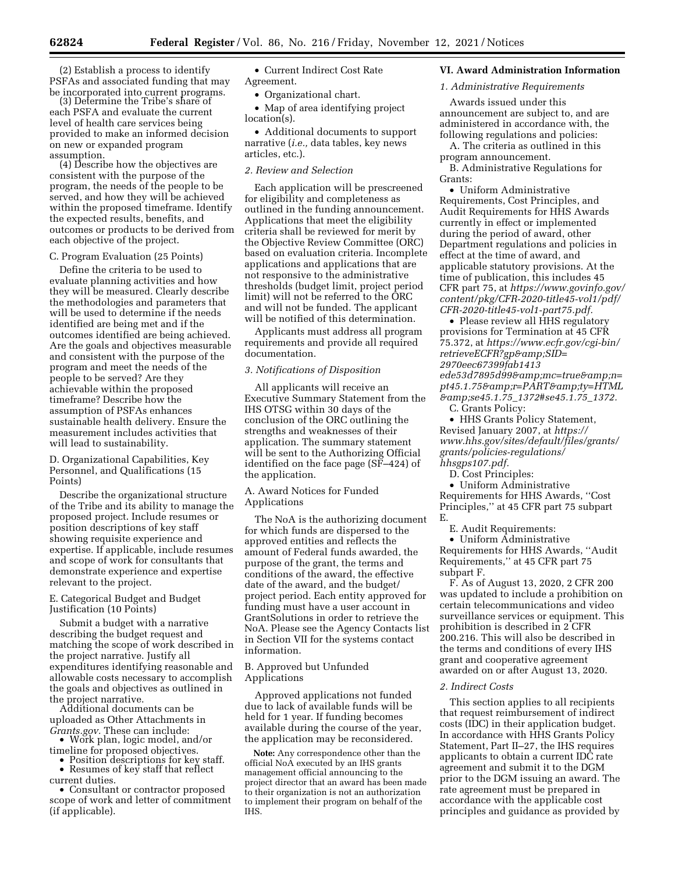(2) Establish a process to identify PSFAs and associated funding that may be incorporated into current programs. (3) Determine the Tribe's share of

each PSFA and evaluate the current level of health care services being provided to make an informed decision on new or expanded program assumption. (4) Describe how the objectives are

consistent with the purpose of the program, the needs of the people to be served, and how they will be achieved within the proposed timeframe. Identify the expected results, benefits, and outcomes or products to be derived from each objective of the project.

#### C. Program Evaluation (25 Points)

Define the criteria to be used to evaluate planning activities and how they will be measured. Clearly describe the methodologies and parameters that will be used to determine if the needs identified are being met and if the outcomes identified are being achieved. Are the goals and objectives measurable and consistent with the purpose of the program and meet the needs of the people to be served? Are they achievable within the proposed timeframe? Describe how the assumption of PSFAs enhances sustainable health delivery. Ensure the measurement includes activities that will lead to sustainability.

D. Organizational Capabilities, Key Personnel, and Qualifications (15 Points)

Describe the organizational structure of the Tribe and its ability to manage the proposed project. Include resumes or position descriptions of key staff showing requisite experience and expertise. If applicable, include resumes and scope of work for consultants that demonstrate experience and expertise relevant to the project.

# E. Categorical Budget and Budget Justification (10 Points)

Submit a budget with a narrative describing the budget request and matching the scope of work described in the project narrative. Justify all expenditures identifying reasonable and allowable costs necessary to accomplish the goals and objectives as outlined in

the project narrative. Additional documents can be uploaded as Other Attachments in *Grants.gov.* These can include: • Work plan, logic model, and/or

timeline for proposed objectives. • Position descriptions for key staff. • Resumes of key staff that reflect

current duties. • Consultant or contractor proposed scope of work and letter of commitment (if applicable).

• Current Indirect Cost Rate Agreement.

• Organizational chart.

• Map of area identifying project location(s).

• Additional documents to support narrative (*i.e.,* data tables, key news articles, etc.).

# *2. Review and Selection*

Each application will be prescreened for eligibility and completeness as outlined in the funding announcement. Applications that meet the eligibility criteria shall be reviewed for merit by the Objective Review Committee (ORC) based on evaluation criteria. Incomplete applications and applications that are not responsive to the administrative thresholds (budget limit, project period limit) will not be referred to the ORC and will not be funded. The applicant will be notified of this determination.

Applicants must address all program requirements and provide all required documentation.

# *3. Notifications of Disposition*

All applicants will receive an Executive Summary Statement from the IHS OTSG within 30 days of the conclusion of the ORC outlining the strengths and weaknesses of their application. The summary statement will be sent to the Authorizing Official identified on the face page (SF–424) of the application.

# A. Award Notices for Funded Applications

The NoA is the authorizing document for which funds are dispersed to the approved entities and reflects the amount of Federal funds awarded, the purpose of the grant, the terms and conditions of the award, the effective date of the award, and the budget/ project period. Each entity approved for funding must have a user account in GrantSolutions in order to retrieve the NoA. Please see the Agency Contacts list in Section VII for the systems contact information.

## B. Approved but Unfunded Applications

Approved applications not funded due to lack of available funds will be held for 1 year. If funding becomes available during the course of the year, the application may be reconsidered.

**Note:** Any correspondence other than the official NoA executed by an IHS grants management official announcing to the project director that an award has been made to their organization is not an authorization to implement their program on behalf of the IHS.

# **VI. Award Administration Information**

# *1. Administrative Requirements*

Awards issued under this announcement are subject to, and are administered in accordance with, the following regulations and policies:

A. The criteria as outlined in this program announcement.

B. Administrative Regulations for Grants:

• Uniform Administrative Requirements, Cost Principles, and Audit Requirements for HHS Awards currently in effect or implemented during the period of award, other Department regulations and policies in effect at the time of award, and applicable statutory provisions. At the time of publication, this includes 45 CFR part 75, at *[https://www.govinfo.gov/](https://www.govinfo.gov/content/pkg/CFR-2020-title45-vol1/pdf/CFR-2020-title45-vol1-part75.pdf) [content/pkg/CFR-2020-title45-vol1/pdf/](https://www.govinfo.gov/content/pkg/CFR-2020-title45-vol1/pdf/CFR-2020-title45-vol1-part75.pdf) [CFR-2020-title45-vol1-part75.pdf.](https://www.govinfo.gov/content/pkg/CFR-2020-title45-vol1/pdf/CFR-2020-title45-vol1-part75.pdf)* 

• Please review all HHS regulatory provisions for Termination at 45 CFR 75.372, at *[https://www.ecfr.gov/cgi-bin/](https://www.ecfr.gov/cgi-bin/retrieveECFR?gp&SID=2970eec67399fab1413ede53d7895d99&mc=true&n=pt45.1.75&r=PART&ty=HTML&se45.1.75_1372#se45.1.75_1372) [retrieveECFR?gp&SID=](https://www.ecfr.gov/cgi-bin/retrieveECFR?gp&SID=2970eec67399fab1413ede53d7895d99&mc=true&n=pt45.1.75&r=PART&ty=HTML&se45.1.75_1372#se45.1.75_1372) [2970eec67399fab1413](https://www.ecfr.gov/cgi-bin/retrieveECFR?gp&SID=2970eec67399fab1413ede53d7895d99&mc=true&n=pt45.1.75&r=PART&ty=HTML&se45.1.75_1372#se45.1.75_1372) [ede53d7895d99&mc=true&n=](https://www.ecfr.gov/cgi-bin/retrieveECFR?gp&SID=2970eec67399fab1413ede53d7895d99&mc=true&n=pt45.1.75&r=PART&ty=HTML&se45.1.75_1372#se45.1.75_1372)* [pt45.1.75&r=PART&ty=HTML](https://www.ecfr.gov/cgi-bin/retrieveECFR?gp&SID=2970eec67399fab1413ede53d7895d99&mc=true&n=pt45.1.75&r=PART&ty=HTML&se45.1.75_1372#se45.1.75_1372) *[&se45.1.75](https://www.ecfr.gov/cgi-bin/retrieveECFR?gp&SID=2970eec67399fab1413ede53d7895d99&mc=true&n=pt45.1.75&r=PART&ty=HTML&se45.1.75_1372#se45.1.75_1372)*\_*1372#se45.1.75*\_*1372.*  C. Grants Policy:

• HHS Grants Policy Statement, Revised January 2007, at *[https://](https://www.hhs.gov/sites/default/files/grants/grants/policies-regulations/hhsgps107.pdf) [www.hhs.gov/sites/default/files/grants/](https://www.hhs.gov/sites/default/files/grants/grants/policies-regulations/hhsgps107.pdf) [grants/policies-regulations/](https://www.hhs.gov/sites/default/files/grants/grants/policies-regulations/hhsgps107.pdf)  [hhsgps107.pdf.](https://www.hhs.gov/sites/default/files/grants/grants/policies-regulations/hhsgps107.pdf)* 

D. Cost Principles:

• Uniform Administrative Requirements for HHS Awards, ''Cost Principles,'' at 45 CFR part 75 subpart E.

E. Audit Requirements:

• Uniform Administrative Requirements for HHS Awards, ''Audit Requirements,'' at 45 CFR part 75 subpart F.

F. As of August 13, 2020, 2 CFR 200 was updated to include a prohibition on certain telecommunications and video surveillance services or equipment. This prohibition is described in 2 CFR 200.216. This will also be described in the terms and conditions of every IHS grant and cooperative agreement awarded on or after August 13, 2020.

### *2. Indirect Costs*

This section applies to all recipients that request reimbursement of indirect costs (IDC) in their application budget. In accordance with HHS Grants Policy Statement, Part II–27, the IHS requires applicants to obtain a current IDC rate agreement and submit it to the DGM prior to the DGM issuing an award. The rate agreement must be prepared in accordance with the applicable cost principles and guidance as provided by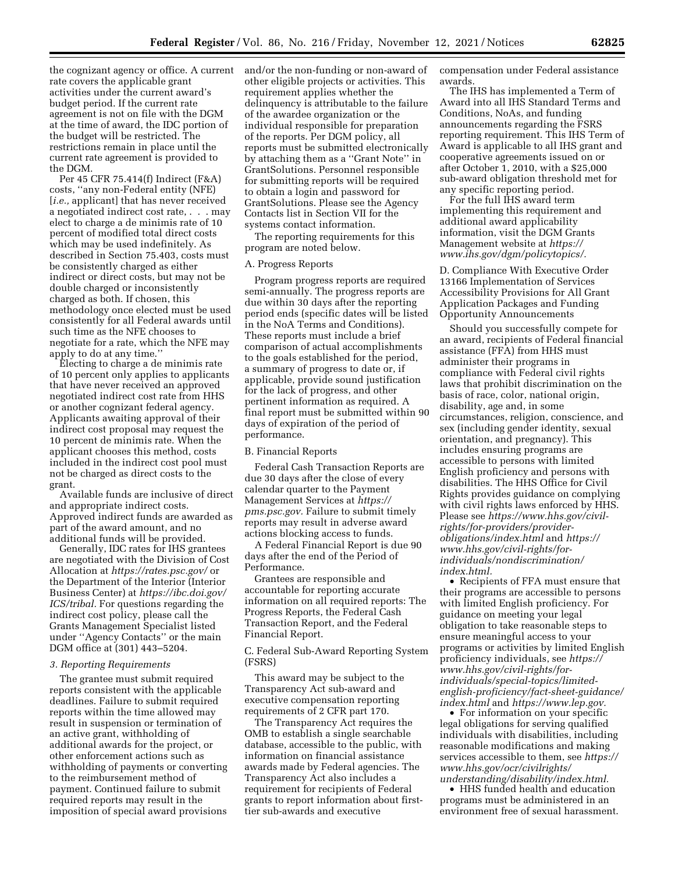the cognizant agency or office. A current rate covers the applicable grant activities under the current award's budget period. If the current rate agreement is not on file with the DGM at the time of award, the IDC portion of the budget will be restricted. The restrictions remain in place until the current rate agreement is provided to the DGM.

Per 45 CFR 75.414(f) Indirect (F&A) costs, ''any non-Federal entity (NFE) [*i.e.*, applicant] that has never received a negotiated indirect cost rate, . . . may elect to charge a de minimis rate of 10 percent of modified total direct costs which may be used indefinitely. As described in Section 75.403, costs must be consistently charged as either indirect or direct costs, but may not be double charged or inconsistently charged as both. If chosen, this methodology once elected must be used consistently for all Federal awards until such time as the NFE chooses to negotiate for a rate, which the NFE may apply to do at any time.''

Electing to charge a de minimis rate of 10 percent only applies to applicants that have never received an approved negotiated indirect cost rate from HHS or another cognizant federal agency. Applicants awaiting approval of their indirect cost proposal may request the 10 percent de minimis rate. When the applicant chooses this method, costs included in the indirect cost pool must not be charged as direct costs to the grant.

Available funds are inclusive of direct and appropriate indirect costs. Approved indirect funds are awarded as part of the award amount, and no additional funds will be provided.

Generally, IDC rates for IHS grantees are negotiated with the Division of Cost Allocation at *<https://rates.psc.gov/>* or the Department of the Interior (Interior Business Center) at *[https://ibc.doi.gov/](https://ibc.doi.gov/ICS/tribal) [ICS/tribal.](https://ibc.doi.gov/ICS/tribal)* For questions regarding the indirect cost policy, please call the Grants Management Specialist listed under ''Agency Contacts'' or the main DGM office at (301) 443–5204.

## *3. Reporting Requirements*

The grantee must submit required reports consistent with the applicable deadlines. Failure to submit required reports within the time allowed may result in suspension or termination of an active grant, withholding of additional awards for the project, or other enforcement actions such as withholding of payments or converting to the reimbursement method of payment. Continued failure to submit required reports may result in the imposition of special award provisions

and/or the non-funding or non-award of other eligible projects or activities. This requirement applies whether the delinquency is attributable to the failure of the awardee organization or the individual responsible for preparation of the reports. Per DGM policy, all reports must be submitted electronically by attaching them as a ''Grant Note'' in GrantSolutions. Personnel responsible for submitting reports will be required to obtain a login and password for GrantSolutions. Please see the Agency Contacts list in Section VII for the systems contact information.

The reporting requirements for this program are noted below.

# A. Progress Reports

Program progress reports are required semi-annually. The progress reports are due within 30 days after the reporting period ends (specific dates will be listed in the NoA Terms and Conditions). These reports must include a brief comparison of actual accomplishments to the goals established for the period, a summary of progress to date or, if applicable, provide sound justification for the lack of progress, and other pertinent information as required. A final report must be submitted within 90 days of expiration of the period of performance.

## B. Financial Reports

Federal Cash Transaction Reports are due 30 days after the close of every calendar quarter to the Payment Management Services at *[https://](https://pms.psc.gov) [pms.psc.gov.](https://pms.psc.gov)* Failure to submit timely reports may result in adverse award actions blocking access to funds.

A Federal Financial Report is due 90 days after the end of the Period of Performance.

Grantees are responsible and accountable for reporting accurate information on all required reports: The Progress Reports, the Federal Cash Transaction Report, and the Federal Financial Report.

C. Federal Sub-Award Reporting System (FSRS)

This award may be subject to the Transparency Act sub-award and executive compensation reporting requirements of 2 CFR part 170.

The Transparency Act requires the OMB to establish a single searchable database, accessible to the public, with information on financial assistance awards made by Federal agencies. The Transparency Act also includes a requirement for recipients of Federal grants to report information about firsttier sub-awards and executive

compensation under Federal assistance awards.

The IHS has implemented a Term of Award into all IHS Standard Terms and Conditions, NoAs, and funding announcements regarding the FSRS reporting requirement. This IHS Term of Award is applicable to all IHS grant and cooperative agreements issued on or after October 1, 2010, with a \$25,000 sub-award obligation threshold met for any specific reporting period.

For the full IHS award term implementing this requirement and additional award applicability information, visit the DGM Grants Management website at *[https://](https://www.ihs.gov/dgm/policytopics/) [www.ihs.gov/dgm/policytopics/.](https://www.ihs.gov/dgm/policytopics/)* 

D. Compliance With Executive Order 13166 Implementation of Services Accessibility Provisions for All Grant Application Packages and Funding Opportunity Announcements

Should you successfully compete for an award, recipients of Federal financial assistance (FFA) from HHS must administer their programs in compliance with Federal civil rights laws that prohibit discrimination on the basis of race, color, national origin, disability, age and, in some circumstances, religion, conscience, and sex (including gender identity, sexual orientation, and pregnancy). This includes ensuring programs are accessible to persons with limited English proficiency and persons with disabilities. The HHS Office for Civil Rights provides guidance on complying with civil rights laws enforced by HHS. Please see *[https://www.hhs.gov/civil](https://www.hhs.gov/civil-rights/for-providers/provider-obligations/index.html)[rights/for-providers/provider](https://www.hhs.gov/civil-rights/for-providers/provider-obligations/index.html)[obligations/index.html](https://www.hhs.gov/civil-rights/for-providers/provider-obligations/index.html)* and *[https://](https://www.hhs.gov/civil-rights/for-individuals/nondiscrimination/index.html) [www.hhs.gov/civil-rights/for](https://www.hhs.gov/civil-rights/for-individuals/nondiscrimination/index.html)[individuals/nondiscrimination/](https://www.hhs.gov/civil-rights/for-individuals/nondiscrimination/index.html)  [index.html.](https://www.hhs.gov/civil-rights/for-individuals/nondiscrimination/index.html)* 

• Recipients of FFA must ensure that their programs are accessible to persons with limited English proficiency. For guidance on meeting your legal obligation to take reasonable steps to ensure meaningful access to your programs or activities by limited English proficiency individuals, see *[https://](https://www.hhs.gov/civil-rights/for-individuals/special-topics/limited-english-proficiency/fact-sheet-guidance/index.html) [www.hhs.gov/civil-rights/for](https://www.hhs.gov/civil-rights/for-individuals/special-topics/limited-english-proficiency/fact-sheet-guidance/index.html)[individuals/special-topics/limited](https://www.hhs.gov/civil-rights/for-individuals/special-topics/limited-english-proficiency/fact-sheet-guidance/index.html)[english-proficiency/fact-sheet-guidance/](https://www.hhs.gov/civil-rights/for-individuals/special-topics/limited-english-proficiency/fact-sheet-guidance/index.html)  [index.html](https://www.hhs.gov/civil-rights/for-individuals/special-topics/limited-english-proficiency/fact-sheet-guidance/index.html)* and *[https://www.lep.gov.](https://www.lep.gov)* 

• For information on your specific legal obligations for serving qualified individuals with disabilities, including reasonable modifications and making services accessible to them, see *[https://](https://www.hhs.gov/ocr/civilrights/understanding/disability/index.html)  [www.hhs.gov/ocr/civilrights/](https://www.hhs.gov/ocr/civilrights/understanding/disability/index.html) [understanding/disability/index.html.](https://www.hhs.gov/ocr/civilrights/understanding/disability/index.html)* 

• HHS funded health and education programs must be administered in an environment free of sexual harassment.